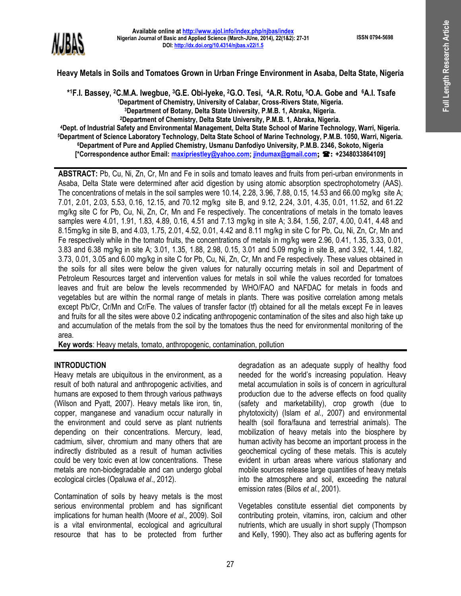**ISSN 0794-5698**



**Heavy Metals in Soils and Tomatoes Grown in Urban Fringe Environment in Asaba, Delta State, Nigeria**

\*1F.I. Bassey, <sup>2</sup>C.M.A. Iwegbue, <sup>3</sup>G.E. Obi-lyeke, <sup>2</sup>G.O. Tesi, <sup>4</sup>A.R. Rotu, <sup>5</sup>O.A. Gobe and <sup>6</sup>A.I. Tsafe **Department of Chemistry, University of Calabar, Cross-Rivers State, Nigeria. Department of Botany, Delta State University, P.M.B. 1, Abraka, Nigeria. Department of Chemistry, Delta State University, P.M.B. 1, Abraka, Nigeria. Dept. of Industrial Safety and Environmental Management, Delta State School of Marine Technology, Warri, Nigeria. Department of Science Laboratory Technology, Delta State School of Marine Technology, P.M.B. 1050, Warri, Nigeria. Department of Pure and Applied Chemistry, Usmanu Danfodiyo University, P.M.B. 2346, Sokoto, Nigeria [\*Correspondence author Email: [maxipriestley@yahoo.com;](mailto:maxipriestley@yahoo.com) [jindumax@gmail.com](mailto:jindumax@gmail.com); : +2348033864109]**

**ABSTRACT:** Pb, Cu, Ni, Zn, Cr, Mn and Fe in soils and tomato leaves and fruits from peri-urban environments in Asaba, Delta State were determined after acid digestion by using atomic absorption spectrophotometry (AAS). The concentrations of metals in the soil samples were 10.14, 2.28, 3.96, 7.88, 0.15, 14.53 and 66.00 mg/kg site A; 7.01, 2.01, 2.03, 5.53, 0.16, 12.15, and 70.12 mg/kg site B, and 9.12, 2.24, 3.01, 4.35, 0.01, 11.52, and 61.22 mg/kg site C for Pb, Cu, Ni, Zn, Cr, Mn and Fe respectively. The concentrations of metals in the tomato leaves samples were 4.01, 1.91, 1.83, 4.89, 0.16, 4.51 and 7.13 mg/kg in site A; 3.84, 1.56, 2.07, 4.00, 0.41, 4.48 and 8.15mg/kg in site B, and 4.03, 1.75, 2.01, 4.52, 0.01, 4.42 and 8.11 mg/kg in site C for Pb, Cu, Ni, Zn, Cr, Mn and Fe respectively while in the tomato fruits, the concentrations of metals in mg/kg were 2.96, 0.41, 1.35, 3.33, 0.01, 3.83 and 6.38 mg/kg in site A; 3.01, 1.35, 1.88, 2.98, 0.15, 3.01 and 5.09 mg/kg in site B, and 3.92, 1.44, 1.82, 3.73, 0.01, 3.05 and 6.00 mg/kg in site C for Pb, Cu, Ni, Zn, Cr, Mn and Fe respectively. These values obtained in the soils for all sites were below the given values for naturally occurring metals in soil and Department of Petroleum Resources target and intervention values for metals in soil while the values recorded for tomatoes leaves and fruit are below the levels recommended by WHO/FAO and NAFDAC for metals in foods and vegetables but are within the normal range of metals in plants. There was positive correlation among metals except Pb/Cr, Cr/Mn and Cr/Fe. The values of transfer factor (tf) obtained for all the metals except Fe in leaves and fruits for all the sites were above 0.2 indicating anthropogenic contamination of the sites and also high take up and accumulation of the metals from the soil by the tomatoes thus the need for environmental monitoring of the area.

**Key words**: Heavy metals, tomato, anthropogenic, contamination, pollution

# **INTRODUCTION**

Heavy metals are ubiquitous in the environment, as a result of both natural and anthropogenic activities, and humans are exposed to them through various pathways (Wilson and Pyatt, 2007). Heavy metals like iron, tin, copper, manganese and vanadium occur naturally in the environment and could serve as plant nutrients depending on their concentrations. Mercury, lead, cadmium, silver, chromium and many others that are indirectly distributed as a result of human activities could be very toxic even at low concentrations. These metals are non-biodegradable and can undergo global ecological circles (Opaluwa *et al*., 2012).

Contamination of soils by heavy metals is the most serious environmental problem and has significant implications for human health (Moore *et al*., 2009). Soil is a vital environmental, ecological and agricultural resource that has to be protected from further degradation as an adequate supply of healthy food needed for the world's increasing population. Heavy metal accumulation in soils is of concern in agricultural production due to the adverse effects on food quality (safety and marketability), crop growth (due to phytotoxicity) (Islam *et al*., 2007) and environmental health (soil flora/fauna and terrestrial animals). The mobilization of heavy metals into the biosphere by human activity has become an important process in the geochemical cycling of these metals. This is acutely evident in urban areas where various stationary and mobile sources release large quantities of heavy metals into the atmosphere and soil, exceeding the natural emission rates (Bilos *et al*., 2001).

Vegetables constitute essential diet components by contributing protein, vitamins, iron, calcium and other nutrients, which are usually in short supply (Thompson and Kelly, 1990). They also act as buffering agents for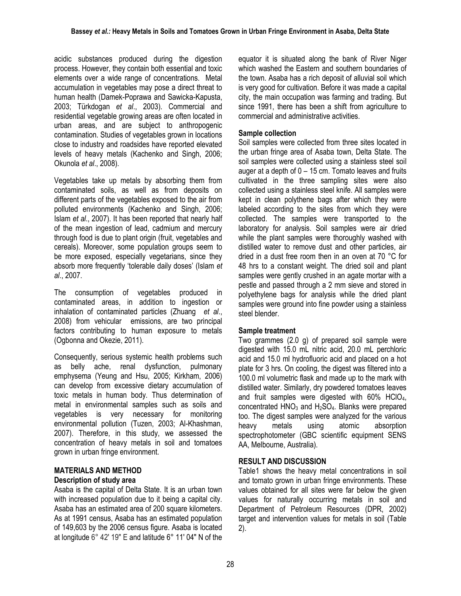acidic substances produced during the digestion process. However, they contain both essential and toxic elements over a wide range of concentrations. Metal accumulation in vegetables may pose a direct threat to human health (Damek-Poprawa and Sawicka-Kapusta, 2003; Türkdogan *et al*., 2003). Commercial and residential vegetable growing areas are often located in urban areas, and are subject to anthropogenic contamination. Studies of vegetables grown in locations close to industry and roadsides have reported elevated levels of heavy metals (Kachenko and Singh, 2006; Okunola *et al*., 2008).

Vegetables take up metals by absorbing them from contaminated soils, as well as from deposits on different parts of the vegetables exposed to the air from polluted environments (Kachenko and Singh, 2006; Islam *et al*., 2007). It has been reported that nearly half of the mean ingestion of lead, cadmium and mercury through food is due to plant origin (fruit, vegetables and cereals). Moreover, some population groups seem to be more exposed, especially vegetarians, since they absorb more frequently 'tolerable daily doses' (Islam *et al*., 2007.

The consumption of vegetables produced in contaminated areas, in addition to ingestion or inhalation of contaminated particles (Zhuang *et al*., 2008) from vehicular emissions, are two principal factors contributing to human exposure to metals (Ogbonna and Okezie, 2011).

Consequently, serious systemic health problems such as belly ache, renal dysfunction, pulmonary emphysema (Yeung and Hsu, 2005; Kirkham, 2006) can develop from excessive dietary accumulation of toxic metals in human body. Thus determination of metal in environmental samples such as soils and vegetables is very necessary for monitoring environmental pollution (Tuzen, 2003; Al-Khashman, 2007). Therefore, in this study, we assessed the concentration of heavy metals in soil and tomatoes grown in urban fringe environment.

# **MATERIALS AND METHOD Description of study area**

Asaba is the capital of Delta State. It is an urban town with increased population due to it being a capital city. Asaba has an estimated area of 200 square kilometers. As at 1991 census, Asaba has an estimated population of 149,603 by the 2006 census figure. Asaba is located at longitude 6° 42' 19" E and latitude 6° 11' 04" N of the equator it is situated along the bank of River Niger which washed the Eastern and southern boundaries of the town. Asaba has a rich deposit of alluvial soil which is very good for cultivation. Before it was made a capital city, the main occupation was farming and trading. But since 1991, there has been a shift from agriculture to commercial and administrative activities.

#### **Sample collection**

Soil samples were collected from three sites located in the urban fringe area of Asaba town, Delta State. The soil samples were collected using a stainless steel soil auger at a depth of  $0 - 15$  cm. Tomato leaves and fruits cultivated in the three sampling sites were also collected using a stainless steel knife. All samples were kept in clean polythene bags after which they were labeled according to the sites from which they were collected. The samples were transported to the laboratory for analysis. Soil samples were air dried while the plant samples were thoroughly washed with distilled water to remove dust and other particles, air dried in a dust free room then in an oven at 70 °C for 48 hrs to a constant weight. The dried soil and plant samples were gently crushed in an agate mortar with a pestle and passed through a 2 mm sieve and stored in polyethylene bags for analysis while the dried plant samples were ground into fine powder using a stainless steel blender.

#### **Sample treatment**

Two grammes (2.0 g) of prepared soil sample were digested with 15.0 mL nitric acid, 20.0 mL perchloric acid and 15.0 ml hydrofluoric acid and placed on a hot plate for 3 hrs. On cooling, the digest was filtered into a 100.0 ml volumetric flask and made up to the mark with distilled water. Similarly, dry powdered tomatoes leaves and fruit samples were digested with 60% HClO4, concentrated  $HNO<sub>3</sub>$  and  $H<sub>2</sub>SO<sub>4</sub>$ . Blanks were prepared too. The digest samples were analyzed for the various heavy metals using atomic absorption spectrophotometer (GBC scientific equipment SENS AA, Melbourne, Australia).

# **RESULT AND DISCUSSION**

Table1 shows the heavy metal concentrations in soil and tomato grown in urban fringe environments. These values obtained for all sites were far below the given values for naturally occurring metals in soil and Department of Petroleum Resources (DPR, 2002) target and intervention values for metals in soil (Table 2).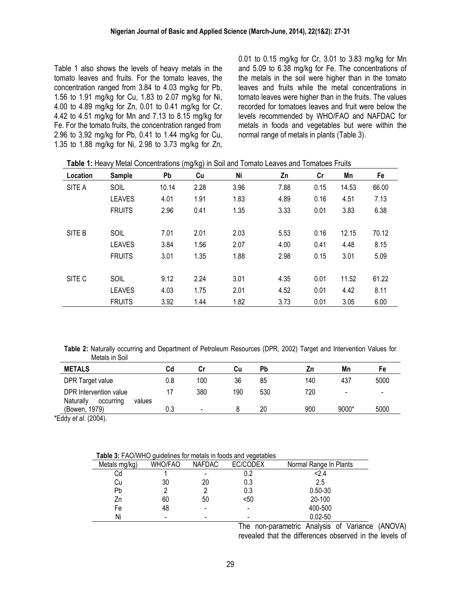Table 1 also shows the levels of heavy metals in the tomato leaves and fruits. For the tomato leaves, the concentration ranged from 3.84 to 4.03 mg/kg for Pb, 1.56 to 1.91 mg/kg for Cu, 1.83 to 2.07 mg/kg for Ni, 4.00 to 4.89 mg/kg for Zn, 0.01 to 0.41 mg/kg for Cr, 4.42 to 4.51 mg/kg for Mn and 7.13 to 8.15 mg/kg for Fe. For the tomato fruits, the concentration ranged from 2.96 to 3.92 mg/kg for Pb, 0.41 to 1.44 mg/kg for Cu, 1.35 to 1.88 mg/kg for Ni, 2.98 to 3.73 mg/kg for Zn, 0.01 to 0.15 mg/kg for Cr, 3.01 to 3.83 mg/kg for Mn and 5.09 to 6.38 mg/kg for Fe. The concentrations of the metals in the soil were higher than in the tomato leaves and fruits while the metal concentrations in tomato leaves were higher than in the fruits. The values recorded for tomatoes leaves and fruit were below the levels recommended by WHO/FAO and NAFDAC for metals in foods and vegetables but were within the normal range of metals in plants (Table 3).

| Location | Sample        | Pb    | Cu   | Ni   | Zn   | Cr   | Mn    | Fe    |
|----------|---------------|-------|------|------|------|------|-------|-------|
| SITE A   | SOIL          | 10.14 | 2.28 | 3.96 | 7.88 | 0.15 | 14.53 | 66.00 |
|          | <b>LEAVES</b> | 4.01  | 1.91 | 1.83 | 4.89 | 0.16 | 4.51  | 7.13  |
|          | <b>FRUITS</b> | 2.96  | 0.41 | 1.35 | 3.33 | 0.01 | 3.83  | 6.38  |
|          |               |       |      |      |      |      |       |       |
| SITE B   | SOIL          | 7.01  | 2.01 | 2.03 | 5.53 | 0.16 | 12.15 | 70.12 |
|          | <b>LEAVES</b> | 3.84  | 1.56 | 2.07 | 4.00 | 0.41 | 4.48  | 8.15  |
|          | <b>FRUITS</b> | 3.01  | 1.35 | 1.88 | 2.98 | 0.15 | 3.01  | 5.09  |
|          |               |       |      |      |      |      |       |       |
| SITE C   | SOIL          | 9.12  | 2.24 | 3.01 | 4.35 | 0.01 | 11.52 | 61.22 |
|          | <b>LEAVES</b> | 4.03  | 1.75 | 2.01 | 4.52 | 0.01 | 4.42  | 8.11  |
|          | <b>FRUITS</b> | 3.92  | 1.44 | 1.82 | 3.73 | 0.01 | 3.05  | 6.00  |

| Table 1: Heavy Metal Concentrations (mg/kg) in Soil and Tomato Leaves and Tomatoes Fruits |  |  |
|-------------------------------------------------------------------------------------------|--|--|
|-------------------------------------------------------------------------------------------|--|--|

**Table 2:** Naturally occurring and Department of Petroleum Resources (DPR, 2002) Target and Intervention Values for Metals in Soil

| <b>METALS</b>                    | Cd  | Сı  | Cu  | Pb  | ۷n  | Mn    | Fe   |
|----------------------------------|-----|-----|-----|-----|-----|-------|------|
| DPR Target value                 | 0.8 | 100 | 36  | 85  | 140 | 437   | 5000 |
| DPR Intervention value           |     | 380 | 190 | 530 | 720 | -     | -    |
| Naturally<br>occurring<br>values |     |     |     |     |     |       |      |
| (Bowen, 1979)                    | 0.3 | ۰.  |     | 20  | 900 | 9000* | 5000 |
| 1.1.1.1.1.1.0001                 |     |     |     |     |     |       |      |

\*Eddy *et al*. (2004).

| Table 3: FAO/WHO guidelines for metals in foods and vegetables |
|----------------------------------------------------------------|
|----------------------------------------------------------------|

| Metals mg/kg) | <b>WHO/FAO</b> | <b>NAFDAC</b> | EC/CODEX | Normal Range In Plants |
|---------------|----------------|---------------|----------|------------------------|
| Cd            |                |               | 0.2      | <2.4                   |
| Cu            | 30             | 20            | 0.3      | 2.5                    |
| Pb            |                |               | 0.3      | $0.50 - 30$            |
| Zn            | 60             | 50            | <50      | 20-100                 |
| Fe            | 48             | -             | -        | 400-500                |
| Ni            | -              | -             | -        | $0.02 - 50$            |

The non-parametric Analysis of Variance (ANOVA) revealed that the differences observed in the levels of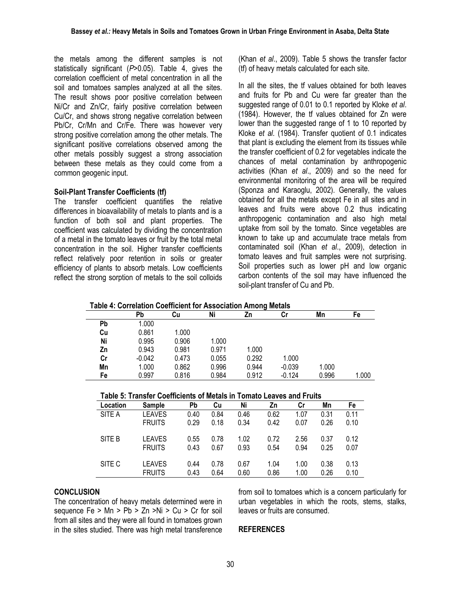the metals among the different samples is not statistically significant (*P*>0.05). Table 4, gives the correlation coefficient of metal concentration in all the soil and tomatoes samples analyzed at all the sites. The result shows poor positive correlation between Ni/Cr and Zn/Cr, fairly positive correlation between Cu/Cr, and shows strong negative correlation between Pb/Cr, Cr/Mn and Cr/Fe. There was however very strong positive correlation among the other metals. The significant positive correlations observed among the other metals possibly suggest a strong association between these metals as they could come from a common geogenic input.

# **Soil-Plant Transfer Coefficients (tf)**

The transfer coefficient quantifies the relative differences in bioavailability of metals to plants and is a function of both soil and plant properties. The coefficient was calculated by dividing the concentration of a metal in the tomato leaves or fruit by the total metal concentration in the soil. Higher transfer coefficients reflect relatively poor retention in soils or greater efficiency of plants to absorb metals. Low coefficients reflect the strong sorption of metals to the soil colloids

(Khan *et al*., 2009). Table 5 shows the transfer factor (tf) of heavy metals calculated for each site.

In all the sites, the tf values obtained for both leaves and fruits for Pb and Cu were far greater than the suggested range of 0.01 to 0.1 reported by Kloke *et al*. (1984). However, the tf values obtained for Zn were lower than the suggested range of 1 to 10 reported by Kloke *et al*. (1984). Transfer quotient of 0.1 indicates that plant is excluding the element from its tissues while the transfer coefficient of 0.2 for vegetables indicate the chances of metal contamination by anthropogenic activities (Khan *et al*., 2009) and so the need for environmental monitoring of the area will be required (Sponza and Karaoglu, 2002). Generally, the values obtained for all the metals except Fe in all sites and in leaves and fruits were above 0.2 thus indicating anthropogenic contamination and also high metal uptake from soil by the tomato. Since vegetables are known to take up and accumulate trace metals from contaminated soil (Khan *et al*., 2009), detection in tomato leaves and fruit samples were not surprising. Soil properties such as lower pH and low organic carbon contents of the soil may have influenced the soil-plant transfer of Cu and Pb.

|  |  | Table 4: Correlation Coefficient for Association Among Metals |  |
|--|--|---------------------------------------------------------------|--|
|  |  |                                                               |  |

|    | Pb       | Cu    | Ni    | Zn    | Сr       | Mn    | Fe    |
|----|----------|-------|-------|-------|----------|-------|-------|
| Pb | 1.000    |       |       |       |          |       |       |
| Cu | 0.861    | 1.000 |       |       |          |       |       |
| Ni | 0.995    | 0.906 | 1.000 |       |          |       |       |
| Zn | 0.943    | 0.981 | 0.971 | 1.000 |          |       |       |
| Cr | $-0.042$ | 0.473 | 0.055 | 0.292 | 1.000    |       |       |
| Mn | 1.000    | 0.862 | 0.996 | 0.944 | $-0.039$ | 1.000 |       |
| Fe | 0.997    | 0.816 | 0.984 | 0.912 | $-0.124$ | 0.996 | 1.000 |

| Location | Sample        | Pb   | Cu   | Ni   | Zn   | Cr   | Mn   | Fe   |
|----------|---------------|------|------|------|------|------|------|------|
| SITE A   | <b>LEAVES</b> | 0.40 | 0.84 | 0.46 | 0.62 | 1.07 | 0.31 | 0.11 |
|          | <b>FRUITS</b> | 0.29 | 0.18 | 0.34 | 0.42 | 0.07 | 0.26 | 0.10 |
| SITE B   | <b>LEAVES</b> | 0.55 | 0.78 | 1.02 | 0.72 | 2.56 | 0.37 | 0.12 |
|          | <b>FRUITS</b> | 0.43 | 0.67 | 0.93 | 0.54 | 0.94 | 0.25 | 0.07 |
| SITE C   | <b>LEAVES</b> | 0.44 | 0.78 | 0.67 | 1.04 | 1.00 | 0.38 | 0.13 |
|          | <b>FRUITS</b> | 0.43 | 0.64 | 0.60 | 0.86 | 1.00 | 0.26 | 0.10 |

#### **CONCLUSION**

The concentration of heavy metals determined were in sequence Fe > Mn > Pb > Zn >Ni > Cu > Cr for soil from all sites and they were all found in tomatoes grown in the sites studied. There was high metal transference from soil to tomatoes which is a concern particularly for urban vegetables in which the roots, stems, stalks, leaves or fruits are consumed.

#### **REFERENCES**